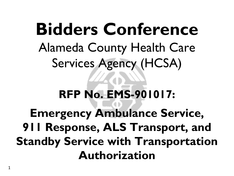**Bidders Conference** Alameda County Health Care Services Agency (HCSA) **RFP No. EMS-901017: Emergency Ambulance Service, 911 Response, ALS Transport, and Standby Service with Transportation Authorization**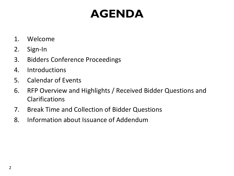# **AGENDA**

- 1. Welcome
- 2. Sign-In
- 3. Bidders Conference Proceedings
- 4. Introductions
- 5. Calendar of Events
- 6. RFP Overview and Highlights / Received Bidder Questions and Clarifications
- 7. Break Time and Collection of Bidder Questions
- 8. Information about Issuance of Addendum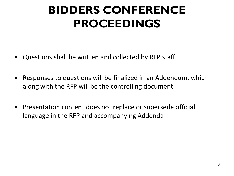# **BIDDERS CONFERENCE PROCEEDINGS**

- Questions shall be written and collected by RFP staff
- Responses to questions will be finalized in an Addendum, which along with the RFP will be the controlling document
- Presentation content does not replace or supersede official language in the RFP and accompanying Addenda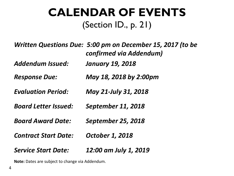#### **CALENDAR OF EVENTS** (Section ID., p. 21)

|                             | Written Questions Due: 5:00 pm on December 15, 2017 (to be<br>confirmed via Addendum) |
|-----------------------------|---------------------------------------------------------------------------------------|
| <b>Addendum Issued:</b>     | <b>January 19, 2018</b>                                                               |
| <b>Response Due:</b>        | May 18, 2018 by 2:00pm                                                                |
| <b>Evaluation Period:</b>   | May 21-July 31, 2018                                                                  |
| <b>Board Letter Issued:</b> | <b>September 11, 2018</b>                                                             |
| <b>Board Award Date:</b>    | <b>September 25, 2018</b>                                                             |
| <b>Contract Start Date:</b> | <b>October 1, 2018</b>                                                                |
| <b>Service Start Date:</b>  | 12:00 am July 1, 2019                                                                 |

**Note:** Dates are subject to change via Addendum.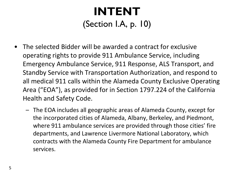# **INTENT** (Section I.A, p. 10)

- The selected Bidder will be awarded a contract for exclusive operating rights to provide 911 Ambulance Service, including Emergency Ambulance Service, 911 Response, ALS Transport, and Standby Service with Transportation Authorization, and respond to all medical 911 calls within the Alameda County Exclusive Operating Area ("EOA"), as provided for in Section 1797.224 of the California Health and Safety Code.
	- The EOA includes all geographic areas of Alameda County, except for the incorporated cities of Alameda, Albany, Berkeley, and Piedmont, where 911 ambulance services are provided through those cities' fire departments, and Lawrence Livermore National Laboratory, which contracts with the Alameda County Fire Department for ambulance services.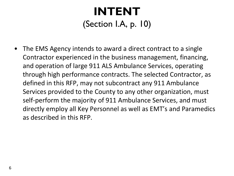# **INTENT** (Section I.A, p. 10)

• The EMS Agency intends to award a direct contract to a single Contractor experienced in the business management, financing, and operation of large 911 ALS Ambulance Services, operating through high performance contracts. The selected Contractor, as defined in this RFP, may not subcontract any 911 Ambulance Services provided to the County to any other organization, must self-perform the majority of 911 Ambulance Services, and must directly employ all Key Personnel as well as EMT's and Paramedics as described in this RFP.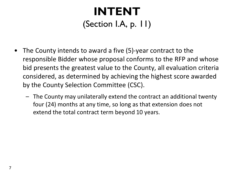# **INTENT** (Section I.A, p. 11)

- The County intends to award a five (5)-year contract to the responsible Bidder whose proposal conforms to the RFP and whose bid presents the greatest value to the County, all evaluation criteria considered, as determined by achieving the highest score awarded by the County Selection Committee (CSC).
	- The County may unilaterally extend the contract an additional twenty four (24) months at any time, so long as that extension does not extend the total contract term beyond 10 years.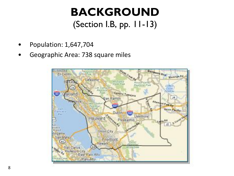### **BACKGROUND** (Section I.B, pp. 11-13)

- Population: 1,647,704
- Geographic Area: 738 square miles

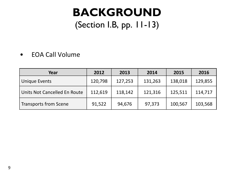#### **BACKGROUND** (Section I.B, pp. 11-13)

#### • EOA Call Volume

| Year                         | 2012    | 2013    | 2014    | 2015    | 2016    |
|------------------------------|---------|---------|---------|---------|---------|
| <b>Unique Events</b>         | 120,798 | 127,253 | 131,263 | 138,018 | 129,855 |
| Units Not Cancelled En Route | 112,619 | 118,142 | 121,316 | 125,511 | 114,717 |
| <b>Transports from Scene</b> | 91,522  | 94,676  | 97,373  | 100,567 | 103,568 |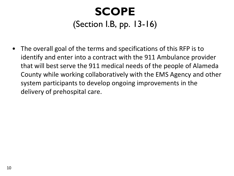# **SCOPE** (Section I.B, pp. 13-16)

• The overall goal of the terms and specifications of this RFP is to identify and enter into a contract with the 911 Ambulance provider that will best serve the 911 medical needs of the people of Alameda County while working collaboratively with the EMS Agency and other system participants to develop ongoing improvements in the delivery of prehospital care.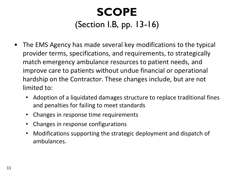## **SCOPE**  (Section I.B, pp. 13-16)

- The EMS Agency has made several key modifications to the typical provider terms, specifications, and requirements, to strategically match emergency ambulance resources to patient needs, and improve care to patients without undue financial or operational hardship on the Contractor. These changes include, but are not limited to:
	- Adoption of a liquidated damages structure to replace traditional fines and penalties for failing to meet standards
	- Changes in response time requirements
	- Changes in response configurations
	- Modifications supporting the strategic deployment and dispatch of ambulances.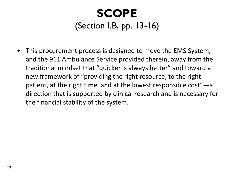# **SCOPE**  (Section I.B, pp. 13-16)

• This procurement process is designed to move the EMS System, and the 911 Ambulance Service provided therein, away from the traditional mindset that "quicker is always better" and toward a new framework of "providing the right resource, to the right patient, at the right time, and at the lowest responsible cost"—a direction that is supported by clinical research and is necessary for the financial stability of the system.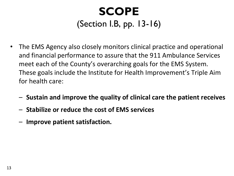# **SCOPE**  (Section I.B, pp. 13-16)

- The EMS Agency also closely monitors clinical practice and operational and financial performance to assure that the 911 Ambulance Services meet each of the County's overarching goals for the EMS System. These goals include the Institute for Health Improvement's Triple Aim for health care:
	- **Sustain and improve the quality of clinical care the patient receives**
	- **Stabilize or reduce the cost of EMS services**
	- **Improve patient satisfaction.**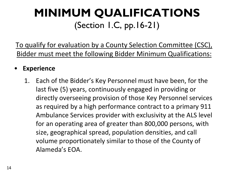# **MINIMUM QUALIFICATIONS** (Section 1.C, pp.16-21)

To qualify for evaluation by a County Selection Committee (CSC), Bidder must meet the following Bidder Minimum Qualifications:

#### • **Experience**

1. Each of the Bidder's Key Personnel must have been, for the last five (5) years, continuously engaged in providing or directly overseeing provision of those Key Personnel services as required by a high performance contract to a primary 911 Ambulance Services provider with exclusivity at the ALS level for an operating area of greater than 800,000 persons, with size, geographical spread, population densities, and call volume proportionately similar to those of the County of Alameda's EOA.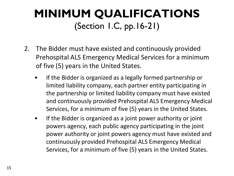# **MINIMUM QUALIFICATIONS** (Section 1.C, pp.16-21)

- 2. The Bidder must have existed and continuously provided Prehospital ALS Emergency Medical Services for a minimum of five (5) years in the United States.
	- If the Bidder is organized as a legally formed partnership or limited liability company, each partner entity participating in the partnership or limited liability company must have existed and continuously provided Prehospital ALS Emergency Medical Services, for a minimum of five (5) years in the United States.
	- If the Bidder is organized as a joint power authority or joint powers agency, each public agency participating in the joint power authority or joint powers agency must have existed and continuously provided Prehospital ALS Emergency Medical Services, for a minimum of five (5) years in the United States.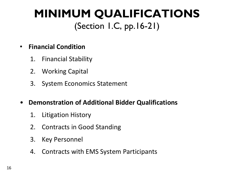# **MINIMUM QUALIFICATIONS** (Section 1.C, pp.16-21)

#### • **Financial Condition**

- 1. Financial Stability
- 2. Working Capital
- 3. System Economics Statement
- **Demonstration of Additional Bidder Qualifications**
	- 1. Litigation History
	- 2. Contracts in Good Standing
	- 3. Key Personnel
	- 4. Contracts with EMS System Participants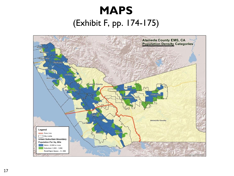# **MAPS** (Exhibit F, pp. 174-175)

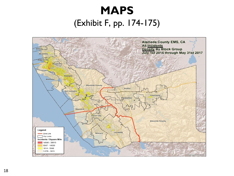# **MAPS** (Exhibit F, pp. 174-175)

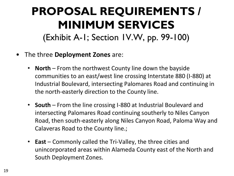### **PROPOSAL REQUIREMENTS / MINIMUM SERVICES** (Exhibit A-1; Section 1V.W, pp. 99-100)

- The three **Deployment Zones** are:
	- **North**  From the northwest County line down the bayside communities to an east/west line crossing Interstate 880 (I-880) at Industrial Boulevard, intersecting Palomares Road and continuing in the north-easterly direction to the County line.
	- **South**  From the line crossing I-880 at Industrial Boulevard and intersecting Palomares Road continuing southerly to Niles Canyon Road, then south-easterly along Niles Canyon Road, Paloma Way and Calaveras Road to the County line.;
	- **East**  Commonly called the Tri-Valley, the three cities and unincorporated areas within Alameda County east of the North and South Deployment Zones.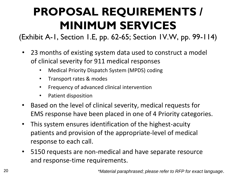(Exhibit A-1, Section 1.E, pp. 62-65; Section 1V.W, pp. 99-114)

- 23 months of existing system data used to construct a model of clinical severity for 911 medical responses
	- Medical Priority Dispatch System (MPDS) coding
	- Transport rates & modes
	- Frequency of advanced clinical intervention
	- Patient disposition
- Based on the level of clinical severity, medical requests for EMS response have been placed in one of 4 Priority categories.
- This system ensures identification of the highest-acuity patients and provision of the appropriate-level of medical response to each call.
- 5150 requests are non-medical and have separate resource and response-time requirements.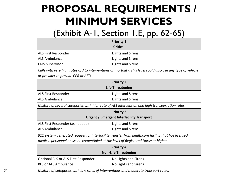#### (Exhibit A-1, Section 1.E, pp. 62-65)

|                                                                                     | <b>Priority 1</b>                                                                                           |  |  |
|-------------------------------------------------------------------------------------|-------------------------------------------------------------------------------------------------------------|--|--|
|                                                                                     | <b>Critical</b>                                                                                             |  |  |
| ALS First Responder                                                                 | Lights and Sirens                                                                                           |  |  |
| <b>ALS Ambulance</b>                                                                | <b>Lights and Sirens</b>                                                                                    |  |  |
| <b>EMS Supervisor</b>                                                               | <b>Lights and Sirens</b>                                                                                    |  |  |
|                                                                                     | Calls with very high rates of ALS interventions or mortality. This level could also use any type of vehicle |  |  |
| or provider to provide CPR or AED.                                                  |                                                                                                             |  |  |
|                                                                                     | <b>Priority 2</b>                                                                                           |  |  |
|                                                                                     | <b>Life Threatening</b>                                                                                     |  |  |
| ALS First Responder                                                                 | <b>Lights and Sirens</b>                                                                                    |  |  |
| <b>ALS Ambulance</b>                                                                | <b>Lights and Sirens</b>                                                                                    |  |  |
|                                                                                     | Mixture of several categories with high rate of ALS intervention and high transportation rates.             |  |  |
|                                                                                     | <b>Priority 3</b>                                                                                           |  |  |
|                                                                                     | <b>Urgent / Emergent Interfacility Transport</b>                                                            |  |  |
| ALS First Responder (as needed)                                                     | <b>Lights and Sirens</b>                                                                                    |  |  |
| <b>ALS Ambulance</b>                                                                | <b>Lights and Sirens</b>                                                                                    |  |  |
|                                                                                     | 911 system generated request for interfacility transfer from healthcare facility that has licensed          |  |  |
| medical personnel on scene credentialed at the level of Registered Nurse or higher. |                                                                                                             |  |  |
|                                                                                     | <b>Priority 4</b>                                                                                           |  |  |
| <b>Non-Life Threatening</b>                                                         |                                                                                                             |  |  |
| Optional BLS or ALS First Responder                                                 | No Lights and Sirens                                                                                        |  |  |
| <b>BLS or ALS Ambulance</b>                                                         | No Lights and Sirens                                                                                        |  |  |
|                                                                                     | Mixture of categories with low rates of interventions and moderate transport rates.                         |  |  |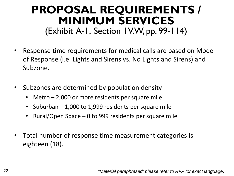#### **PROPOSAL REQUIREMENTS / MINIMUM SERVICES** (Exhibit A-1, Section 1V.W, pp. 99-114)

- Response time requirements for medical calls are based on Mode of Response (i.e. Lights and Sirens vs. No Lights and Sirens) and Subzone.
- Subzones are determined by population density
	- Metro 2,000 or more residents per square mile
	- Suburban 1,000 to 1,999 residents per square mile
	- Rural/Open Space 0 to 999 residents per square mile
- Total number of response time measurement categories is eighteen (18).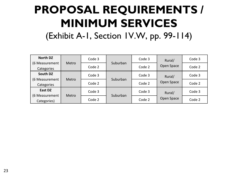(Exhibit A-1, Section 1V.W, pp. 99-114)

| <b>North DZ</b> |       | Code 3   | Suburban | Code 3 | Rural/<br>Open Space | Code 3 |
|-----------------|-------|----------|----------|--------|----------------------|--------|
| (6 Measurement  | Metro | Code 2   |          | Code 2 |                      | Code 2 |
| Categories      |       |          |          |        |                      |        |
| South DZ        |       | Code 3   |          | Code 3 | Rural/               | Code 3 |
| (6 Measurement  | Metro | Suburban |          |        |                      |        |
| Categories      |       |          | Code 2   | Code 2 | Open Space           | Code 2 |
| East DZ         |       | Code 3   |          | Code 3 | Rural/<br>Open Space | Code 3 |
| (6 Measurement  | Metro |          | Suburban |        |                      |        |
| Categories)     |       | Code 2   |          | Code 2 |                      | Code 2 |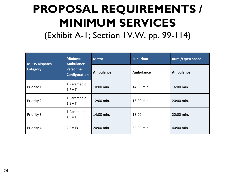(Exhibit A-1; Section 1V.W, pp. 99-114)

| <b>MPDS Dispatch</b> | <b>Minimum</b><br><b>Ambulance</b><br><b>Personnel</b><br><b>Configuration</b> | <b>Metro</b> | <b>Suburban</b> | <b>Rural/Open Space</b> |  |
|----------------------|--------------------------------------------------------------------------------|--------------|-----------------|-------------------------|--|
| Category             |                                                                                | Ambulance    | Ambulance       | <b>Ambulance</b>        |  |
| Priority 1           | 1 Paramedic<br>1 EMT                                                           | 10:00 min.   | 14:00 min.      | 16:00 min.              |  |
| Priority 2           | 1 Paramedic<br>1 EMT                                                           | 12:00 min.   | 16:00 min.      | 20:00 min.              |  |
| Priority 3           | 1 Paramedic<br>1 EMT                                                           | 14:00 min.   | 18:00 min.      | 20:00 min.              |  |
| Priority 4           | 2 EMTs                                                                         | 20:00 min.   | 30:00 min.      | 40:00 min.              |  |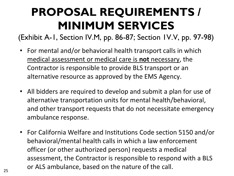(Exhibit A-1, Section IV.M, pp. 86-87; Section 1V.V, pp. 97-98)

- For mental and/or behavioral health transport calls in which medical assessment or medical care is **not** necessary, the Contractor is responsible to provide BLS transport or an alternative resource as approved by the EMS Agency.
- All bidders are required to develop and submit a plan for use of alternative transportation units for mental health/behavioral, and other transport requests that do not necessitate emergency ambulance response.
- For California Welfare and Institutions Code section 5150 and/or behavioral/mental health calls in which a law enforcement officer (or other authorized person) requests a medical assessment, the Contractor is responsible to respond with a BLS or ALS ambulance, based on the nature of the call.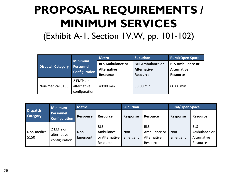(Exhibit A-1, Section 1V.W, pp. 101-102)

| <b>Dispatch Category</b> | <b>Minimum</b><br><b>Personnel</b><br>Configuration | <b>Metro</b>                                  | <b>Suburban</b>                               | <b>Rural/Open Space</b>                       |  |
|--------------------------|-----------------------------------------------------|-----------------------------------------------|-----------------------------------------------|-----------------------------------------------|--|
|                          |                                                     | <b>BLS Ambulance or</b><br><b>Alternative</b> | <b>BLS Ambulance or</b><br><b>Alternative</b> | <b>BLS Ambulance or</b><br><b>Alternative</b> |  |
|                          |                                                     |                                               |                                               |                                               |  |
|                          |                                                     | <b>Resource</b>                               | <b>Resource</b>                               | <b>Resource</b>                               |  |
|                          | 2 EMTs or                                           |                                               |                                               |                                               |  |
| Non-medical 5150         | alternative                                         | 40:00 min.                                    | 50:00 min.                                    | 60:00 min.                                    |  |
|                          | configuration                                       |                                               |                                               |                                               |  |

| <b>Dispatch</b><br><b>Category</b> | <b>Minimum</b><br><b>Personnel</b><br><b>Configuration</b> | <b>Metro</b>     |                                                       | <b>Suburban</b>  |                                                       | <b>Rural/Open Space</b> |                                                       |
|------------------------------------|------------------------------------------------------------|------------------|-------------------------------------------------------|------------------|-------------------------------------------------------|-------------------------|-------------------------------------------------------|
|                                    |                                                            | Response         | <b>Resource</b>                                       | <b>Response</b>  | <b>Resource</b>                                       | <b>Response</b>         | <b>Resource</b>                                       |
| Non-medical<br>5150                | 2 EMTs or<br>alternative<br>configuration                  | Non-<br>Emergent | <b>BLS</b><br>Ambulance<br>or Alternative<br>Resource | Non-<br>Emergent | <b>BLS</b><br>Ambulance or<br>Alternative<br>Resource | Non-<br>Emergent        | <b>BLS</b><br>Ambulance or<br>Alternative<br>Resource |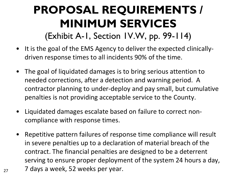(Exhibit A-1, Section 1V.W, pp. 99-114)

- It is the goal of the EMS Agency to deliver the expected clinicallydriven response times to all incidents 90% of the time.
- The goal of liquidated damages is to bring serious attention to needed corrections, after a detection and warning period. A contractor planning to under-deploy and pay small, but cumulative penalties is not providing acceptable service to the County.
- Liquidated damages escalate based on failure to correct noncompliance with response times.
- Repetitive pattern failures of response time compliance will result in severe penalties up to a declaration of material breach of the contract. The financial penalties are designed to be a deterrent serving to ensure proper deployment of the system 24 hours a day,  $_{27}$  7 days a week, 52 weeks per year.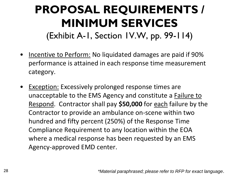## **PROPOSAL REQUIREMENTS / MINIMUM SERVICES** (Exhibit A-1, Section 1V.W, pp. 99-114)

- Incentive to Perform: No liquidated damages are paid if 90% performance is attained in each response time measurement category.
- Exception: Excessively prolonged response times are unacceptable to the EMS Agency and constitute a Failure to Respond. Contractor shall pay **\$50,000** for each failure by the Contractor to provide an ambulance on-scene within two hundred and fifty percent (250%) of the Response Time Compliance Requirement to any location within the EOA where a medical response has been requested by an EMS Agency-approved EMD center.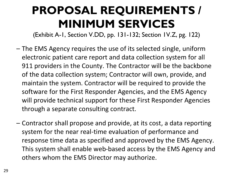(Exhibit A-1, Section V.DD, pp. 131-132; Section 1V.Z, pg. 122)

- The EMS Agency requires the use of its selected single, uniform electronic patient care report and data collection system for all 911 providers in the County. The Contractor will be the backbone of the data collection system; Contractor will own, provide, and maintain the system. Contractor will be required to provide the software for the First Responder Agencies, and the EMS Agency will provide technical support for these First Responder Agencies through a separate consulting contract.
- Contractor shall propose and provide, at its cost, a data reporting system for the near real-time evaluation of performance and response time data as specified and approved by the EMS Agency. This system shall enable web-based access by the EMS Agency and others whom the EMS Director may authorize.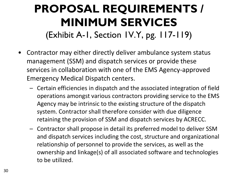## **PROPOSAL REQUIREMENTS / MINIMUM SERVICES** (Exhibit A-1, Section 1V.Y, pg. 117-119)

- Contractor may either directly deliver ambulance system status management (SSM) and dispatch services or provide these services in collaboration with one of the EMS Agency-approved Emergency Medical Dispatch centers.
	- Certain efficiencies in dispatch and the associated integration of field operations amongst various contractors providing service to the EMS Agency may be intrinsic to the existing structure of the dispatch system. Contractor shall therefore consider with due diligence retaining the provision of SSM and dispatch services by ACRECC.
	- Contractor shall propose in detail its preferred model to deliver SSM and dispatch services including the cost, structure and organizational relationship of personnel to provide the services, as well as the ownership and linkage(s) of all associated software and technologies to be utilized.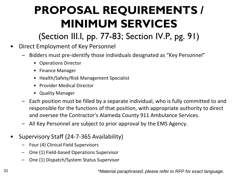(Section III.I, pp. 77-83; Section IV.P, pg. 91)

- Direct Employment of Key Personnel
	- Bidders must pre-identify those individuals designated as "Key Personnel"
		- Operations Director
		- Finance Manager
		- Health/Safety/Risk Management Specialist
		- Provider Medical Director
		- Quality Manager
	- Each position must be filled by a separate individual, who is fully committed to and responsible for the functions of that position, with appropriate authority to direct and oversee the Contractor's Alameda County 911 Ambulance Services.
	- All Key Personnel are subject to prior approval by the EMS Agency.
- Supervisory Staff (24-7-365 Availability)
	- Four (4) Clinical Field Supervisors
	- One (1) Field-based Operations Supervisor
	- One (1) Dispatch/System Status Supervisor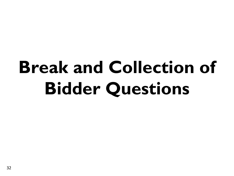# **Break and Collection of Bidder Questions**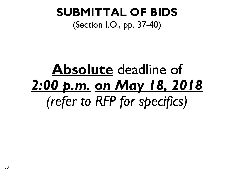#### **SUBMITTAL OF BIDS** (Section I.O., pp. 37-40)

# **Absolute** deadline of *2:00 p.m. on May 18, 2018 (refer to RFP for specifics)*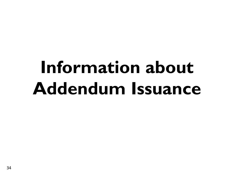# **Information about Addendum Issuance**